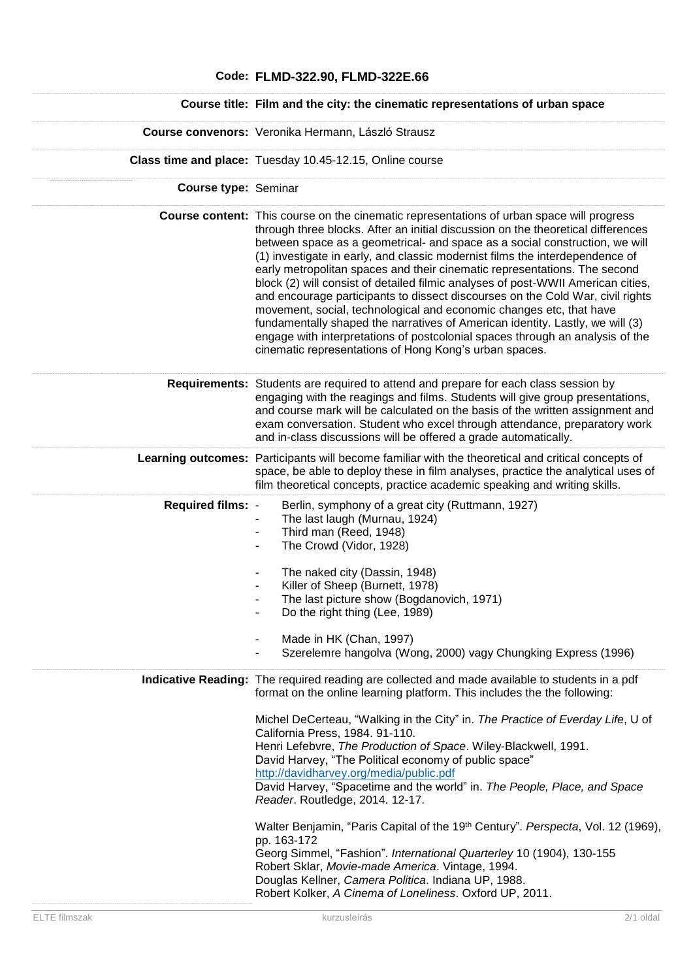## **Code: FLMD-322.90, FLMD-322E.66 Course title: Film and the city: the cinematic representations of urban space Course convenors:** Veronika Hermann, László Strausz **Class time and place:** Tuesday 10.45-12.15, Online course **Course type:** Seminar **Course content:** This course on the cinematic representations of urban space will progress through three blocks. After an initial discussion on the theoretical differences between space as a geometrical- and space as a social construction, we will (1) investigate in early, and classic modernist films the interdependence of early metropolitan spaces and their cinematic representations. The second block (2) will consist of detailed filmic analyses of post-WWII American cities, and encourage participants to dissect discourses on the Cold War, civil rights movement, social, technological and economic changes etc, that have fundamentally shaped the narratives of American identity. Lastly, we will (3) engage with interpretations of postcolonial spaces through an analysis of the cinematic representations of Hong Kong's urban spaces. **Requirements:** Students are required to attend and prepare for each class session by engaging with the reagings and films. Students will give group presentations, and course mark will be calculated on the basis of the written assignment and exam conversation. Student who excel through attendance, preparatory work and in-class discussions will be offered a grade automatically. **Learning outcomes:** Participants will become familiar with the theoretical and critical concepts of space, be able to deploy these in film analyses, practice the analytical uses of film theoretical concepts, practice academic speaking and writing skills. **Required films:** - Berlin, symphony of a great city (Ruttmann, 1927) The last laugh (Murnau, 1924) Third man (Reed, 1948) - The Crowd (Vidor, 1928) The naked city (Dassin, 1948) Killer of Sheep (Burnett, 1978) The last picture show (Bogdanovich, 1971) Do the right thing (Lee, 1989) Made in HK (Chan, 1997) Szerelemre hangolva (Wong, 2000) vagy Chungking Express (1996) **Indicative Reading:** The required reading are collected and made available to students in a pdf format on the online learning platform. This includes the the following: Michel DeCerteau, "Walking in the City" in. *The Practice of Everday Life*, U of California Press, 1984. 91-110. Henri Lefebvre, *The Production of Space*. Wiley-Blackwell, 1991. David Harvey, "The Political economy of public space" <http://davidharvey.org/media/public.pdf> David Harvey, "Spacetime and the world" in. *The People, Place, and Space Reader*. Routledge, 2014. 12-17. Walter Benjamin, "Paris Capital of the 19th Century". *Perspecta*, Vol. 12 (1969), pp. 163-172 Georg Simmel, "Fashion". *International Quarterley* 10 (1904), 130-155 Robert Sklar, *Movie-made America*. Vintage, 1994. Douglas Kellner, *Camera Politica*. Indiana UP, 1988.

Robert Kolker, *A Cinema of Loneliness*. Oxford UP, 2011.